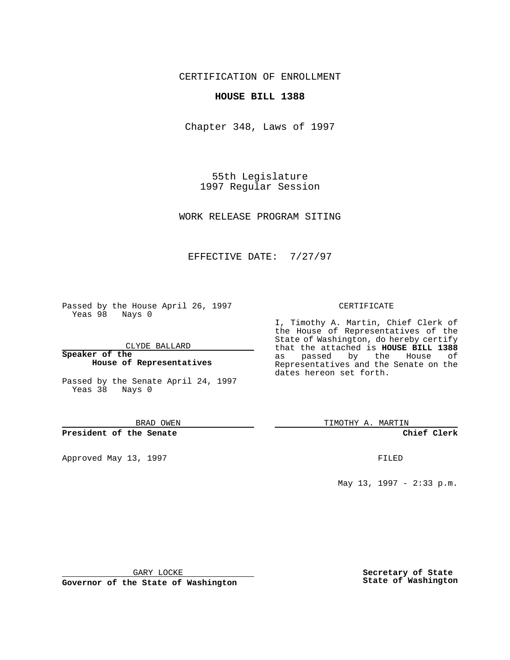CERTIFICATION OF ENROLLMENT

## **HOUSE BILL 1388**

Chapter 348, Laws of 1997

55th Legislature 1997 Regular Session

WORK RELEASE PROGRAM SITING

## EFFECTIVE DATE: 7/27/97

Passed by the House April 26, 1997 Yeas 98 Nays 0

CLYDE BALLARD

**Speaker of the House of Representatives**

Passed by the Senate April 24, 1997 Yeas 38 Nays 0

BRAD OWEN

**President of the Senate**

Approved May 13, 1997 **FILED** 

#### CERTIFICATE

I, Timothy A. Martin, Chief Clerk of the House of Representatives of the State of Washington, do hereby certify that the attached is **HOUSE BILL 1388** as passed by the House of Representatives and the Senate on the dates hereon set forth.

TIMOTHY A. MARTIN

**Chief Clerk**

May 13, 1997 - 2:33 p.m.

GARY LOCKE

**Governor of the State of Washington**

**Secretary of State State of Washington**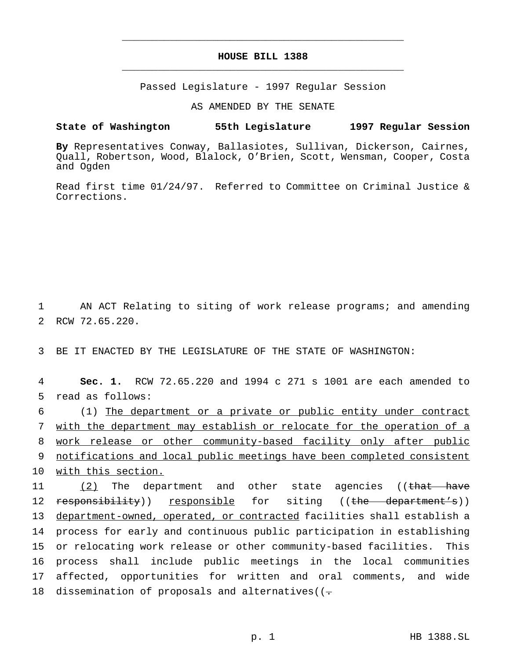# **HOUSE BILL 1388** \_\_\_\_\_\_\_\_\_\_\_\_\_\_\_\_\_\_\_\_\_\_\_\_\_\_\_\_\_\_\_\_\_\_\_\_\_\_\_\_\_\_\_\_\_\_\_

\_\_\_\_\_\_\_\_\_\_\_\_\_\_\_\_\_\_\_\_\_\_\_\_\_\_\_\_\_\_\_\_\_\_\_\_\_\_\_\_\_\_\_\_\_\_\_

Passed Legislature - 1997 Regular Session

AS AMENDED BY THE SENATE

### **State of Washington 55th Legislature 1997 Regular Session**

**By** Representatives Conway, Ballasiotes, Sullivan, Dickerson, Cairnes, Quall, Robertson, Wood, Blalock, O'Brien, Scott, Wensman, Cooper, Costa and Ogden

Read first time 01/24/97. Referred to Committee on Criminal Justice & Corrections.

1 AN ACT Relating to siting of work release programs; and amending 2 RCW 72.65.220.

3 BE IT ENACTED BY THE LEGISLATURE OF THE STATE OF WASHINGTON:

4 **Sec. 1.** RCW 72.65.220 and 1994 c 271 s 1001 are each amended to 5 read as follows:

 (1) The department or a private or public entity under contract with the department may establish or relocate for the operation of a work release or other community-based facility only after public notifications and local public meetings have been completed consistent 10 with this section.

11 (2) The department and other state agencies ((that have 12 responsibility)) responsible for siting ((the department's)) department-owned, operated, or contracted facilities shall establish a process for early and continuous public participation in establishing or relocating work release or other community-based facilities. This process shall include public meetings in the local communities affected, opportunities for written and oral comments, and wide 18 dissemination of proposals and alternatives( $(-$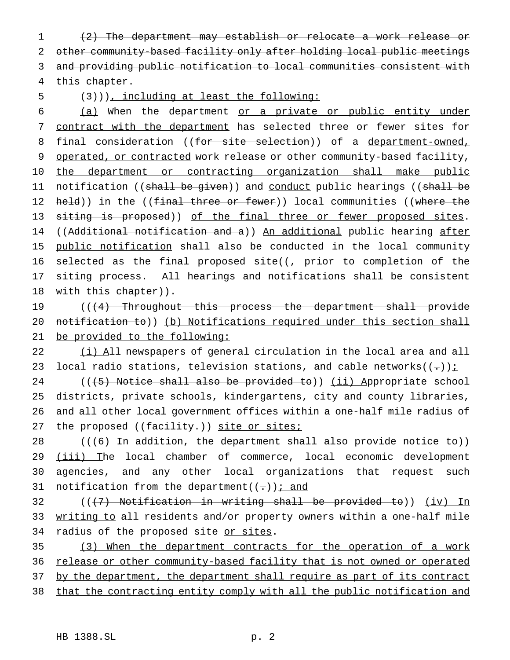(2) The department may establish or relocate a work release or other community-based facility only after holding local public meetings and providing public notification to local communities consistent with this chapter.

 $(3)$ ), including at least the following:

6 (a) When the department or a private or public entity under 7 contract with the department has selected three or fewer sites for 8 final consideration ((for site selection)) of a department-owned, 9 operated, or contracted work release or other community-based facility, 10 the department or contracting organization shall make public 11 notification ((shall be given)) and conduct public hearings ((shall be 12 held)) in the ((final three or fewer)) local communities ((where the 13 siting is proposed)) of the final three or fewer proposed sites. 14 ((Additional notification and a)) An additional public hearing after 15 public notification shall also be conducted in the local community 16 selected as the final proposed site((<del>, prior to completion of the</del> 17 siting process. All hearings and notifications shall be consistent 18 with this chapter)).

19 (((4) Throughout this process the department shall provide 20 notification to)) (b) Notifications required under this section shall 21 be provided to the following:

22 (i) All newspapers of general circulation in the local area and all 23 local radio stations, television stations, and cable networks $((-))$ ;

 $((\dagger 5)$  Notice shall also be provided to)) (ii) Appropriate school districts, private schools, kindergartens, city and county libraries, and all other local government offices within a one-half mile radius of 27 the proposed ((facility.)) site or sites;

 $28$  (( $(6)$  In addition, the department shall also provide notice to)) 29 (iii) The local chamber of commerce, local economic development 30 agencies, and any other local organizations that request such 31 notification from the department( $(-)$ ); and

32  $((+7)$  Notification in writing shall be provided to))  $(iv)$  In 33 writing to all residents and/or property owners within a one-half mile 34 radius of the proposed site or sites.

35 (3) When the department contracts for the operation of a work 36 release or other community-based facility that is not owned or operated 37 by the department, the department shall require as part of its contract 38 that the contracting entity comply with all the public notification and